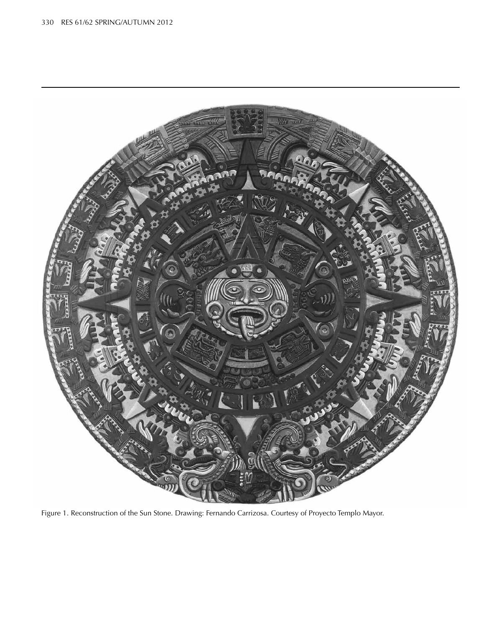

Figure 1. Reconstruction of the Sun Stone. Drawing: Fernando Carrizosa. Courtesy of Proyecto Templo Mayor.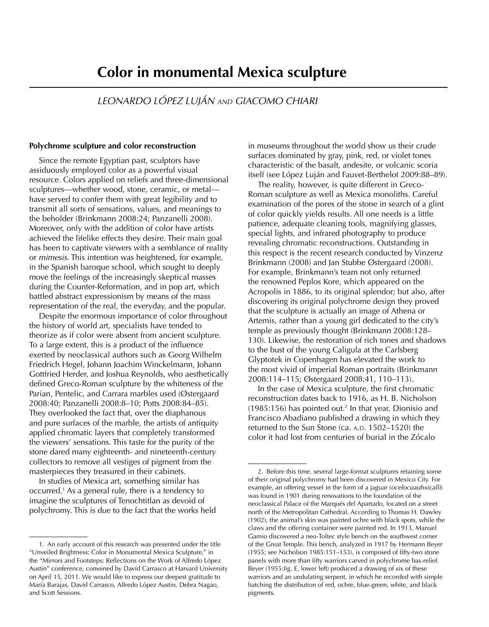# **Color in monumental Mexica sculpture**

*Leonardo López Luján and Giacomo Chiari*

## **Polychrome sculpture and color reconstruction**

Since the remote Egyptian past, sculptors have assiduously employed color as a powerful visual resource. Colors applied on reliefs and three-dimensional sculptures—whether wood, stone, ceramic, or metal have served to confer them with great legibility and to transmit all sorts of sensations, values, and meanings to the beholder (Brinkmann 2008:24; Panzanelli 2008). Moreover, only with the addition of color have artists achieved the lifelike effects they desire. Their main goal has been to captivate viewers with a semblance of reality or *mimesis*. This intention was heightened, for example, in the Spanish baroque school, which sought to deeply move the feelings of the increasingly skeptical masses during the Counter-Reformation, and in pop art, which battled abstract expressionism by means of the mass representation of the real, the everyday, and the popular.

Despite the enormous importance of color throughout the history of world art, specialists have tended to theorize as if color were absent from ancient sculpture. To a large extent, this is a product of the influence exerted by neoclassical authors such as Georg Wilhelm Friedrich Hegel, Johann Joachim Winckelmann, Johann Gottfried Herder, and Joshua Reynolds, who aesthetically defined Greco-Roman sculpture by the whiteness of the Parian, Pentelic, and Carrara marbles used (Østergaard 2008:40; Panzanelli 2008:8–10; Potts 2008:84–85). They overlooked the fact that, over the diaphanous and pure surfaces of the marble, the artists of antiquity applied chromatic layers that completely transformed the viewers' sensations. This taste for the purity of the stone dared many eighteenth- and nineteenth-century collectors to remove all vestiges of pigment from the masterpieces they treasured in their cabinets.

In studies of Mexica art, something similar has occurred.1 As a general rule, there is a tendency to imagine the sculptures of Tenochtitlan as devoid of polychromy. This is due to the fact that the works held in museums throughout the world show us their crude surfaces dominated by gray, pink, red, or violet tones characteristic of the basalt, andesite, or volcanic scoria itself (see López Luján and Fauvet-Berthelot 2009:88–89).

The reality, however, is quite different in Greco-Roman sculpture as well as Mexica monoliths. Careful examination of the pores of the stone in search of a glint of color quickly yields results. All one needs is a little patience, adequate cleaning tools, magnifying glasses, special lights, and infrared photography to produce revealing chromatic reconstructions. Outstanding in this respect is the recent research conducted by Vinzenz Brinkmann (2008) and Jan Stubbe Østergaard (2008). For example, Brinkmann's team not only returned the renowned Peplos Kore, which appeared on the Acropolis in 1886, to its original splendor; but also, after discovering its original polychrome design they proved that the sculpture is actually an image of Athena or Artemis, rather than a young girl dedicated to the city's temple as previously thought (Brinkmann 2008:128– 130). Likewise, the restoration of rich tones and shadows to the bust of the young Caligula at the Carlsberg Glyptotek in Copenhagen has elevated the work to the most vivid of imperial Roman portraits (Brinkmann 2008:114–115; Østergaard 2008:41, 110–113).

In the case of Mexica sculpture, the first chromatic reconstruction dates back to 1916, as H. B. Nicholson  $(1985:156)$  has pointed out.<sup>2</sup> In that year, Dionisio and Francisco Abadiano published a drawing in which they returned to the Sun Stone (ca. A.D. 1502–1520) the color it had lost from centuries of burial in the Zócalo

<sup>1.</sup> An early account of this research was presented under the title "Unveiled Brightness: Color in Monumental Mexica Sculpture," in the "Mirrors and Footsteps: Reflections on the Work of Alfredo López Austin" conference, convened by Davíd Carrasco at Harvard University on April 15, 2011. We would like to express our deepest gratitude to María Barajas, Davíd Carrasco, Alfredo López Austin, Debra Nagao, and Scott Sessions.

<sup>2.</sup> Before this time, several large-format sculptures retaining some of their original polychromy had been discovered in Mexico City. For example, an offering vessel in the form of a jaguar (*ocelocuauhxicalli*) was found in 1901 during renovations to the foundation of the neoclassical Palace of the Marqués del Apartado, located on a street north of the Metropolitan Cathedral. According to Thomas H. Dawley (1902), the animal's skin was painted ochre with black spots, while the claws and the offering container were painted red. In 1913, Manuel Gamio discovered a neo-Toltec style bench on the southwest corner of the Great Temple. This bench, analyzed in 1917 by Hermann Beyer (1955; see Nicholson 1985:151–153), is composed of fifty-two stone panels with more than fifty warriors carved in polychrome bas-relief. Beyer (1955:fig. E, lower left) produced a drawing of six of these warriors and an undulating serpent, in which he recorded with simple hatching the distribution of red, ochre, blue-green, white, and black pigments.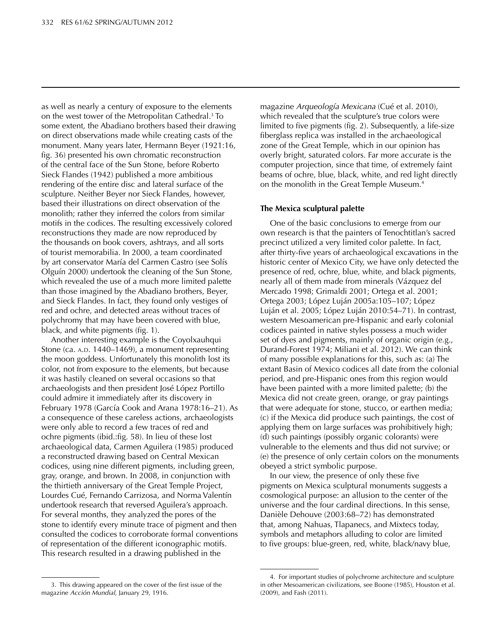as well as nearly a century of exposure to the elements on the west tower of the Metropolitan Cathedral.3 To some extent, the Abadiano brothers based their drawing on direct observations made while creating casts of the monument. Many years later, Hermann Beyer (1921:16, fig. 36) presented his own chromatic reconstruction of the central face of the Sun Stone, before Roberto Sieck Flandes (1942) published a more ambitious rendering of the entire disc and lateral surface of the sculpture. Neither Beyer nor Sieck Flandes, however, based their illustrations on direct observation of the monolith; rather they inferred the colors from similar motifs in the codices. The resulting excessively colored reconstructions they made are now reproduced by the thousands on book covers, ashtrays, and all sorts of tourist memorabilia. In 2000, a team coordinated by art conservator María del Carmen Castro (see Solís Olguín 2000) undertook the cleaning of the Sun Stone, which revealed the use of a much more limited palette than those imagined by the Abadiano brothers, Beyer, and Sieck Flandes. In fact, they found only vestiges of red and ochre, and detected areas without traces of polychromy that may have been covered with blue, black, and white pigments (fig. 1).

Another interesting example is the Coyolxauhqui Stone (ca. A.D. 1440–1469), a monument representing the moon goddess. Unfortunately this monolith lost its color, not from exposure to the elements, but because it was hastily cleaned on several occasions so that archaeologists and then president José López Portillo could admire it immediately after its discovery in February 1978 (García Cook and Arana 1978:16–21). As a consequence of these careless actions, archaeologists were only able to record a few traces of red and ochre pigments (ibid.:fig. 58). In lieu of these lost archaeological data, Carmen Aguilera (1985) produced a reconstructed drawing based on Central Mexican codices, using nine different pigments, including green, gray, orange, and brown. In 2008, in conjunction with the thirtieth anniversary of the Great Temple Project, Lourdes Cué, Fernando Carrizosa, and Norma Valentín undertook research that reversed Aguilera's approach. For several months, they analyzed the pores of the stone to identify every minute trace of pigment and then consulted the codices to corroborate formal conventions of representation of the different iconographic motifs. This research resulted in a drawing published in the

magazine *Arqueología Mexicana* (Cué et al. 2010), which revealed that the sculpture's true colors were limited to five pigments (fig. 2). Subsequently, a life-size fiberglass replica was installed in the archaeological zone of the Great Temple, which in our opinion has overly bright, saturated colors. Far more accurate is the computer projection, since that time, of extremely faint beams of ochre, blue, black, white, and red light directly on the monolith in the Great Temple Museum.4

### **The Mexica sculptural palette**

One of the basic conclusions to emerge from our own research is that the painters of Tenochtitlan's sacred precinct utilized a very limited color palette. In fact, after thirty-five years of archaeological excavations in the historic center of Mexico City, we have only detected the presence of red, ochre, blue, white, and black pigments, nearly all of them made from minerals (Vázquez del Mercado 1998; Grimaldi 2001; Ortega et al. 2001; Ortega 2003; López Luján 2005a:105–107; López Luján et al. 2005; López Luján 2010:54–71). In contrast, western Mesoamerican pre-Hispanic and early colonial codices painted in native styles possess a much wider set of dyes and pigments, mainly of organic origin (e.g., Durand-Forest 1974; Miliani et al. 2012). We can think of many possible explanations for this, such as: (a) The extant Basin of Mexico codices all date from the colonial period, and pre-Hispanic ones from this region would have been painted with a more limited palette; (b) the Mexica did not create green, orange, or gray paintings that were adequate for stone, stucco, or earthen media; (c) if the Mexica did produce such paintings, the cost of applying them on large surfaces was prohibitively high; (d) such paintings (possibly organic colorants) were vulnerable to the elements and thus did not survive; or (e) the presence of only certain colors on the monuments obeyed a strict symbolic purpose.

In our view, the presence of only these five pigments on Mexica sculptural monuments suggests a cosmological purpose: an allusion to the center of the universe and the four cardinal directions. In this sense, Danièle Dehouve (2003:68–72) has demonstrated that, among Nahuas, Tlapanecs, and Mixtecs today, symbols and metaphors alluding to color are limited to five groups: blue-green, red, white, black/navy blue,

<sup>3.</sup> This drawing appeared on the cover of the first issue of the magazine *Acción Mundial,* January 29, 1916.

<sup>4.</sup> For important studies of polychrome architecture and sculpture in other Mesoamerican civilizations, see Boone (1985), Houston et al. (2009), and Fash (2011).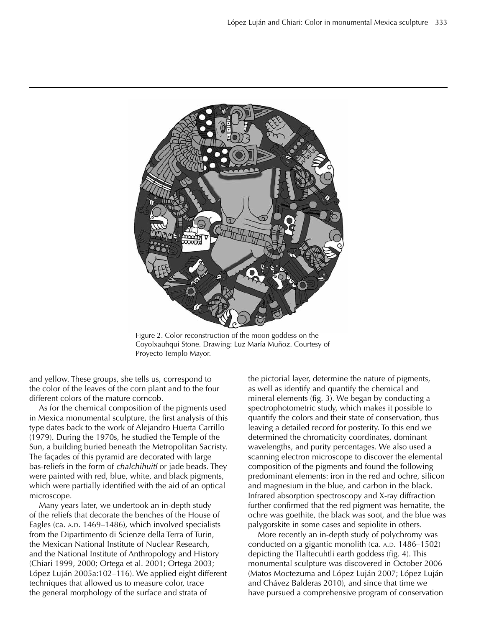

Figure 2. Color reconstruction of the moon goddess on the Coyolxauhqui Stone. Drawing: Luz María Muñoz. Courtesy of Proyecto Templo Mayor.

and yellow. These groups, she tells us, correspond to the color of the leaves of the corn plant and to the four different colors of the mature corncob.

As for the chemical composition of the pigments used in Mexica monumental sculpture, the first analysis of this type dates back to the work of Alejandro Huerta Carrillo (1979). During the 1970s, he studied the Temple of the Sun, a building buried beneath the Metropolitan Sacristy. The façades of this pyramid are decorated with large bas-reliefs in the form of *chalchihuitl* or jade beads. They were painted with red, blue, white, and black pigments, which were partially identified with the aid of an optical microscope.

Many years later, we undertook an in-depth study of the reliefs that decorate the benches of the House of Eagles (ca. A.D. 1469–1486), which involved specialists from the Dipartimento di Scienze della Terra of Turin, the Mexican National Institute of Nuclear Research, and the National Institute of Anthropology and History (Chiari 1999, 2000; Ortega et al. 2001; Ortega 2003; López Luján 2005a:102–116). We applied eight different techniques that allowed us to measure color, trace the general morphology of the surface and strata of

the pictorial layer, determine the nature of pigments, as well as identify and quantify the chemical and mineral elements (fig. 3). We began by conducting a spectrophotometric study, which makes it possible to quantify the colors and their state of conservation, thus leaving a detailed record for posterity. To this end we determined the chromaticity coordinates, dominant wavelengths, and purity percentages. We also used a scanning electron microscope to discover the elemental composition of the pigments and found the following predominant elements: iron in the red and ochre, silicon and magnesium in the blue, and carbon in the black. Infrared absorption spectroscopy and X-ray diffraction further confirmed that the red pigment was hematite, the ochre was goethite, the black was soot, and the blue was palygorskite in some cases and sepiolite in others.

More recently an in-depth study of polychromy was conducted on a gigantic monolith (ca.  $A.D. 1486-1502$ ) depicting the Tlaltecuhtli earth goddess (fig. 4). This monumental sculpture was discovered in October 2006 (Matos Moctezuma and López Luján 2007; López Luján and Chávez Balderas 2010), and since that time we have pursued a comprehensive program of conservation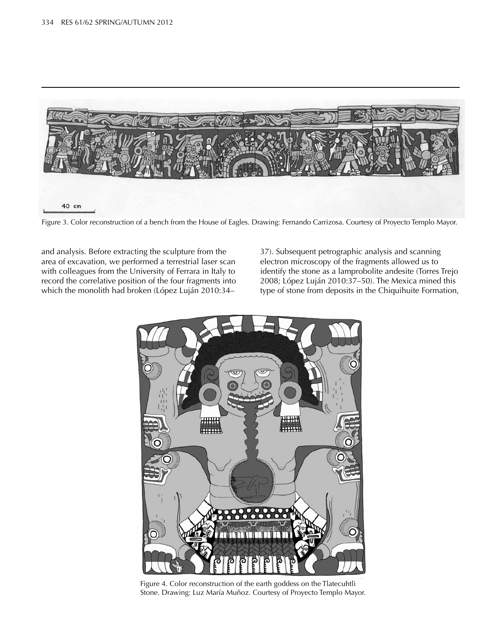

Figure 3. Color reconstruction of a bench from the House of Eagles. Drawing: Fernando Carrizosa. Courtesy of Proyecto Templo Mayor.

and analysis. Before extracting the sculpture from the area of excavation, we performed a terrestrial laser scan with colleagues from the University of Ferrara in Italy to record the correlative position of the four fragments into which the monolith had broken (López Luján 2010:34–

37). Subsequent petrographic analysis and scanning electron microscopy of the fragments allowed us to identify the stone as a lamprobolite andesite (Torres Trejo 2008; López Luján 2010:37–50). The Mexica mined this type of stone from deposits in the Chiquihuite Formation,



Figure 4. Color reconstruction of the earth goddess on the Tlatecuhtli Stone. Drawing: Luz María Muñoz. Courtesy of Proyecto Templo Mayor.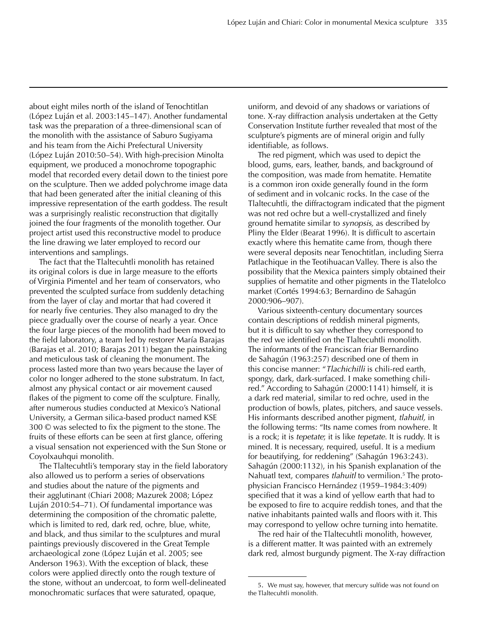about eight miles north of the island of Tenochtitlan (López Luján et al. 2003:145–147). Another fundamental task was the preparation of a three-dimensional scan of the monolith with the assistance of Saburo Sugiyama and his team from the Aichi Prefectural University (López Luján 2010:50–54). With high-precision Minolta equipment, we produced a monochrome topographic model that recorded every detail down to the tiniest pore on the sculpture. Then we added polychrome image data that had been generated after the initial cleaning of this impressive representation of the earth goddess. The result was a surprisingly realistic reconstruction that digitally joined the four fragments of the monolith together. Our project artist used this reconstructive model to produce the line drawing we later employed to record our interventions and samplings.

The fact that the Tlaltecuhtli monolith has retained its original colors is due in large measure to the efforts of Virginia Pimentel and her team of conservators, who prevented the sculpted surface from suddenly detaching from the layer of clay and mortar that had covered it for nearly five centuries. They also managed to dry the piece gradually over the course of nearly a year. Once the four large pieces of the monolith had been moved to the field laboratory, a team led by restorer María Barajas (Barajas et al. 2010; Barajas 2011) began the painstaking and meticulous task of cleaning the monument. The process lasted more than two years because the layer of color no longer adhered to the stone substratum. In fact, almost any physical contact or air movement caused flakes of the pigment to come off the sculpture. Finally, after numerous studies conducted at Mexico's National University, a German silica-based product named KSE 300 © was selected to fix the pigment to the stone. The fruits of these efforts can be seen at first glance, offering a visual sensation not experienced with the Sun Stone or Coyolxauhqui monolith.

The Tlaltecuhtli's temporary stay in the field laboratory also allowed us to perform a series of observations and studies about the nature of the pigments and their agglutinant (Chiari 2008; Mazurek 2008; López Luján 2010:54–71). Of fundamental importance was determining the composition of the chromatic palette, which is limited to red, dark red, ochre, blue, white, and black, and thus similar to the sculptures and mural paintings previously discovered in the Great Temple archaeological zone (López Luján et al. 2005; see Anderson 1963). With the exception of black, these colors were applied directly onto the rough texture of the stone, without an undercoat, to form well-delineated monochromatic surfaces that were saturated, opaque,

uniform, and devoid of any shadows or variations of tone. X-ray diffraction analysis undertaken at the Getty Conservation Institute further revealed that most of the sculpture's pigments are of mineral origin and fully identifiable, as follows.

The red pigment, which was used to depict the blood, gums, ears, leather, bands, and background of the composition, was made from hematite. Hematite is a common iron oxide generally found in the form of sediment and in volcanic rocks. In the case of the Tlaltecuhtli, the diffractogram indicated that the pigment was not red ochre but a well-crystallized and finely ground hematite similar to *synopsis,* as described by Pliny the Elder (Bearat 1996). It is difficult to ascertain exactly where this hematite came from, though there were several deposits near Tenochtitlan, including Sierra Patlachique in the Teotihuacan Valley. There is also the possibility that the Mexica painters simply obtained their supplies of hematite and other pigments in the Tlatelolco market (Cortés 1994:63; Bernardino de Sahagún 2000:906–907).

Various sixteenth-century documentary sources contain descriptions of reddish mineral pigments, but it is difficult to say whether they correspond to the red we identified on the Tlaltecuhtli monolith. The informants of the Franciscan friar Bernardino de Sahagún (1963:257) described one of them in this concise manner: "*Tlachichilli* is chili-red earth, spongy, dark, dark-surfaced. I make something chilired." According to Sahagún (2000:1141) himself, it is a dark red material, similar to red ochre, used in the production of bowls, plates, pitchers, and sauce vessels. His informants described another pigment, *tlahuitl,* in the following terms: "Its name comes from nowhere. It is a rock; it is *tepetate*; it is like *tepetate*. It is ruddy. It is mined. It is necessary, required, useful. It is a medium for beautifying, for reddening" (Sahagún 1963:243). Sahagún (2000:1132), in his Spanish explanation of the Nahuatl text, compares *tlahuitl* to vermilion.<sup>5</sup> The protophysician Francisco Hernández (1959–1984:3:409) specified that it was a kind of yellow earth that had to be exposed to fire to acquire reddish tones, and that the native inhabitants painted walls and floors with it. This may correspond to yellow ochre turning into hematite.

The red hair of the Tlaltecuhtli monolith, however, is a different matter. It was painted with an extremely dark red, almost burgundy pigment. The X-ray diffraction

<sup>5.</sup> We must say, however, that mercury sulfide was not found on the Tlaltecuhtli monolith.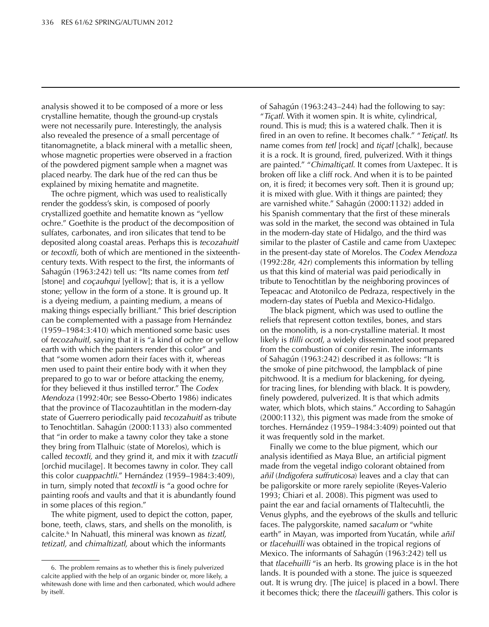analysis showed it to be composed of a more or less crystalline hematite, though the ground-up crystals were not necessarily pure. Interestingly, the analysis also revealed the presence of a small percentage of titanomagnetite, a black mineral with a metallic sheen, whose magnetic properties were observed in a fraction of the powdered pigment sample when a magnet was placed nearby. The dark hue of the red can thus be explained by mixing hematite and magnetite.

The ochre pigment, which was used to realistically render the goddess's skin, is composed of poorly crystallized goethite and hematite known as "yellow ochre." Goethite is the product of the decomposition of sulfates, carbonates, and iron silicates that tend to be deposited along coastal areas. Perhaps this is *tecozahuitl* or *tecoxtli,* both of which are mentioned in the sixteenthcentury texts. With respect to the first, the informants of Sahagún (1963:242) tell us: "Its name comes from *tetl* [stone] and *coçauhqui* [yellow]; that is, it is a yellow stone; yellow in the form of a stone. It is ground up. It is a dyeing medium, a painting medium, a means of making things especially brilliant." This brief description can be complemented with a passage from Hernández (1959–1984:3:410) which mentioned some basic uses of *tecozahuitl,* saying that it is "a kind of ochre or yellow earth with which the painters render this color" and that "some women adorn their faces with it, whereas men used to paint their entire body with it when they prepared to go to war or before attacking the enemy, for they believed it thus instilled terror." The *Codex Mendoza* (1992:40r; see Besso-Oberto 1986) indicates that the province of Tlacozauhtitlan in the modern-day state of Guerrero periodically paid *tecozahuitl* as tribute to Tenochtitlan. Sahagún (2000:1133) also commented that "in order to make a tawny color they take a stone they bring from Tlalhuic (state of Morelos), which is called *tecoxtli,* and they grind it, and mix it with *tzacutli* [orchid mucilage]. It becomes tawny in color. They call this color *cuappachtli*." Hernández (1959–1984:3:409), in turn, simply noted that *tecoxtli* is "a good ochre for painting roofs and vaults and that it is abundantly found in some places of this region."

The white pigment, used to depict the cotton, paper, bone, teeth, claws, stars, and shells on the monolith, is calcite.6 In Nahuatl, this mineral was known as *tizatl, tetizatl,* and *chimaltizatl,* about which the informants

of Sahagún (1963:243–244) had the following to say: "*Tiçatl*. With it women spin. It is white, cylindrical, round. This is mud; this is a watered chalk. Then it is fired in an oven to refine. It becomes chalk." "*Tetiçatl*. Its name comes from *tetl* [rock] and *tiçatl* [chalk], because it is a rock. It is ground, fired, pulverized. With it things are painted." "*Chimaltiçatl*. It comes from Uaxtepec. It is broken off like a cliff rock. And when it is to be painted on, it is fired; it becomes very soft. Then it is ground up; it is mixed with glue. With it things are painted; they are varnished white." Sahagún (2000:1132) added in his Spanish commentary that the first of these minerals was sold in the market, the second was obtained in Tula in the modern-day state of Hidalgo, and the third was similar to the plaster of Castile and came from Uaxtepec in the present-day state of Morelos. The *Codex Mendoza*  (1992:28r, 42r) complements this information by telling us that this kind of material was paid periodically in tribute to Tenochtitlan by the neighboring provinces of Tepeacac and Atotonilco de Pedraza, respectively in the modern-day states of Puebla and Mexico-Hidalgo.

The black pigment, which was used to outline the reliefs that represent cotton textiles, bones, and stars on the monolith, is a non-crystalline material. It most likely is *tlilli ocotl,* a widely disseminated soot prepared from the combustion of conifer resin. The informants of Sahagún (1963:242) described it as follows: "It is the smoke of pine pitchwood, the lampblack of pine pitchwood. It is a medium for blackening, for dyeing, for tracing lines, for blending with black. It is powdery, finely powdered, pulverized. It is that which admits water, which blots, which stains." According to Sahagún (2000:1132), this pigment was made from the smoke of torches. Hernández (1959–1984:3:409) pointed out that it was frequently sold in the market.

Finally we come to the blue pigment, which our analysis identified as Maya Blue, an artificial pigment made from the vegetal indigo colorant obtained from *añil* (*Indigofera suffruticosa*) leaves and a clay that can be paligorskite or more rarely sepiolite (Reyes-Valerio 1993; Chiari et al. 2008). This pigment was used to paint the ear and facial ornaments of Tlaltecuhtli, the Venus glyphs, and the eyebrows of the skulls and telluric faces. The palygorskite, named *sacalum* or "white earth" in Mayan, was imported from Yucatán, while *añil* or *tlacehuilli* was obtained in the tropical regions of Mexico. The informants of Sahagún (1963:242) tell us that *tlacehuilli* "is an herb. Its growing place is in the hot lands. It is pounded with a stone. The juice is squeezed out. It is wrung dry. [The juice] is placed in a bowl. There it becomes thick; there the *tlaceuilli* gathers. This color is

<sup>6.</sup> The problem remains as to whether this is finely pulverized calcite applied with the help of an organic binder or, more likely, a whitewash done with lime and then carbonated, which would adhere by itself.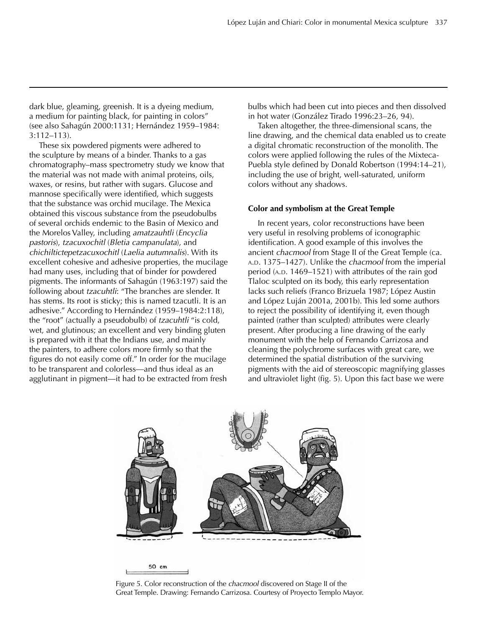dark blue, gleaming, greenish. It is a dyeing medium, a medium for painting black, for painting in colors" (see also Sahagún 2000:1131; Hernández 1959–1984: 3:112–113).

These six powdered pigments were adhered to the sculpture by means of a binder. Thanks to a gas chromatography–mass spectrometry study we know that the material was not made with animal proteins, oils, waxes, or resins, but rather with sugars. Glucose and mannose specifically were identified, which suggests that the substance was orchid mucilage. The Mexica obtained this viscous substance from the pseudobulbs of several orchids endemic to the Basin of Mexico and the Morelos Valley, including *amatzauhtli* (*Encyclia pastoris*), *tzacuxochitl* (*Bletia campanulata*), and *chichiltictepetzacuxochitl* (*Laelia autumnalis*). With its excellent cohesive and adhesive properties, the mucilage had many uses, including that of binder for powdered pigments. The informants of Sahagún (1963:197) said the following about *tzacuhtli*: "The branches are slender. It has stems. Its root is sticky; this is named tzacutli. It is an adhesive." According to Hernández (1959–1984:2:118), the "root" (actually a pseudobulb) of *tzacuhtli* "is cold, wet, and glutinous; an excellent and very binding gluten is prepared with it that the Indians use, and mainly the painters, to adhere colors more firmly so that the figures do not easily come off." In order for the mucilage to be transparent and colorless—and thus ideal as an agglutinant in pigment—it had to be extracted from fresh

bulbs which had been cut into pieces and then dissolved in hot water (González Tirado 1996:23–26, 94).

Taken altogether, the three-dimensional scans, the line drawing, and the chemical data enabled us to create a digital chromatic reconstruction of the monolith. The colors were applied following the rules of the Mixteca-Puebla style defined by Donald Robertson (1994:14–21), including the use of bright, well-saturated, uniform colors without any shadows.

# **Color and symbolism at the Great Temple**

In recent years, color reconstructions have been very useful in resolving problems of iconographic identification. A good example of this involves the ancient *chacmool* from Stage II of the Great Temple (ca. a.d. 1375–1427). Unlike the *chacmool* from the imperial period ( $A.D. 1469-1521$ ) with attributes of the rain god Tlaloc sculpted on its body, this early representation lacks such reliefs (Franco Brizuela 1987; López Austin and López Luján 2001a, 2001b). This led some authors to reject the possibility of identifying it, even though painted (rather than sculpted) attributes were clearly present. After producing a line drawing of the early monument with the help of Fernando Carrizosa and cleaning the polychrome surfaces with great care, we determined the spatial distribution of the surviving pigments with the aid of stereoscopic magnifying glasses and ultraviolet light (fig. 5). Upon this fact base we were



Figure 5. Color reconstruction of the *chacmool* discovered on Stage II of the Great Temple. Drawing: Fernando Carrizosa. Courtesy of Proyecto Templo Mayor.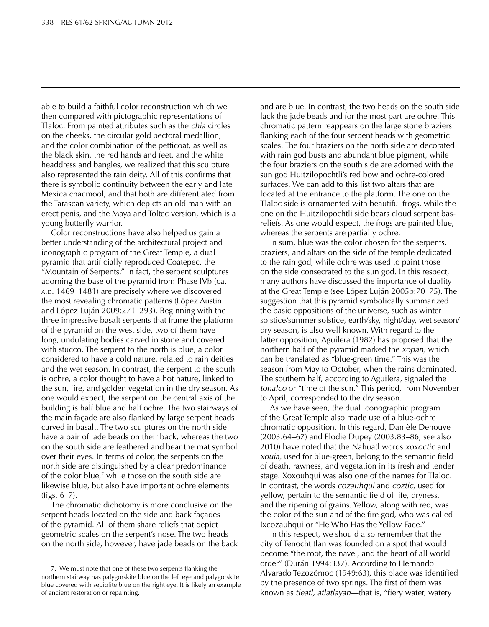able to build a faithful color reconstruction which we then compared with pictographic representations of Tlaloc. From painted attributes such as the *chia* circles on the cheeks, the circular gold pectoral medallion, and the color combination of the petticoat, as well as the black skin, the red hands and feet, and the white headdress and bangles, we realized that this sculpture also represented the rain deity. All of this confirms that there is symbolic continuity between the early and late Mexica chacmool, and that both are differentiated from the Tarascan variety, which depicts an old man with an erect penis, and the Maya and Toltec version, which is a young butterfly warrior.

Color reconstructions have also helped us gain a better understanding of the architectural project and iconographic program of the Great Temple, a dual pyramid that artificially reproduced Coatepec, the "Mountain of Serpents." In fact, the serpent sculptures adorning the base of the pyramid from Phase IVb (ca. A.D. 1469–1481) are precisely where we discovered the most revealing chromatic patterns (López Austin and López Luján 2009:271–293). Beginning with the three impressive basalt serpents that frame the platform of the pyramid on the west side, two of them have long, undulating bodies carved in stone and covered with stucco. The serpent to the north is blue, a color considered to have a cold nature, related to rain deities and the wet season. In contrast, the serpent to the south is ochre, a color thought to have a hot nature, linked to the sun, fire, and golden vegetation in the dry season. As one would expect, the serpent on the central axis of the building is half blue and half ochre. The two stairways of the main façade are also flanked by large serpent heads carved in basalt. The two sculptures on the north side have a pair of jade beads on their back, whereas the two on the south side are feathered and bear the mat symbol over their eyes. In terms of color, the serpents on the north side are distinguished by a clear predominance of the color blue,7 while those on the south side are likewise blue, but also have important ochre elements (figs. 6–7).

The chromatic dichotomy is more conclusive on the serpent heads located on the side and back façades of the pyramid. All of them share reliefs that depict geometric scales on the serpent's nose. The two heads on the north side, however, have jade beads on the back

and are blue. In contrast, the two heads on the south side lack the jade beads and for the most part are ochre. This chromatic pattern reappears on the large stone braziers flanking each of the four serpent heads with geometric scales. The four braziers on the north side are decorated with rain god busts and abundant blue pigment, while the four braziers on the south side are adorned with the sun god Huitzilopochtli's red bow and ochre-colored surfaces. We can add to this list two altars that are located at the entrance to the platform. The one on the Tlaloc side is ornamented with beautiful frogs, while the one on the Huitzilopochtli side bears cloud serpent basreliefs. As one would expect, the frogs are painted blue, whereas the serpents are partially ochre.

In sum, blue was the color chosen for the serpents, braziers, and altars on the side of the temple dedicated to the rain god, while ochre was used to paint those on the side consecrated to the sun god. In this respect, many authors have discussed the importance of duality at the Great Temple (see López Luján 2005b:70–75). The suggestion that this pyramid symbolically summarized the basic oppositions of the universe, such as winter solstice/summer solstice, earth/sky, night/day, wet season/ dry season, is also well known. With regard to the latter opposition, Aguilera (1982) has proposed that the northern half of the pyramid marked the *xopan,* which can be translated as "blue-green time." This was the season from May to October, when the rains dominated. The southern half, according to Aguilera, signaled the *tonalco* or "time of the sun." This period, from November to April, corresponded to the dry season.

As we have seen, the dual iconographic program of the Great Temple also made use of a blue-ochre chromatic opposition. In this regard, Danièle Dehouve (2003:64–67) and Elodie Dupey (2003:83–86; see also 2010) have noted that the Nahuatl words *xoxoctic* and *xouia,* used for blue-green, belong to the semantic field of death, rawness, and vegetation in its fresh and tender stage. Xoxouhqui was also one of the names for Tlaloc. In contrast, the words *cozauhqui* and *coztic,* used for yellow, pertain to the semantic field of life, dryness, and the ripening of grains. Yellow, along with red, was the color of the sun and of the fire god, who was called Ixcozauhqui or "He Who Has the Yellow Face."

In this respect, we should also remember that the city of Tenochtitlan was founded on a spot that would become "the root, the navel, and the heart of all world order" (Durán 1994:337). According to Hernando Alvarado Tezozómoc (1949:63), this place was identified by the presence of two springs. The first of them was known as *tleatl, atlatlayan*—that is, "fiery water, watery

<sup>7.</sup> We must note that one of these two serpents flanking the northern stairway has palygorskite blue on the left eye and palygorskite blue covered with sepiolite blue on the right eye. It is likely an example of ancient restoration or repainting.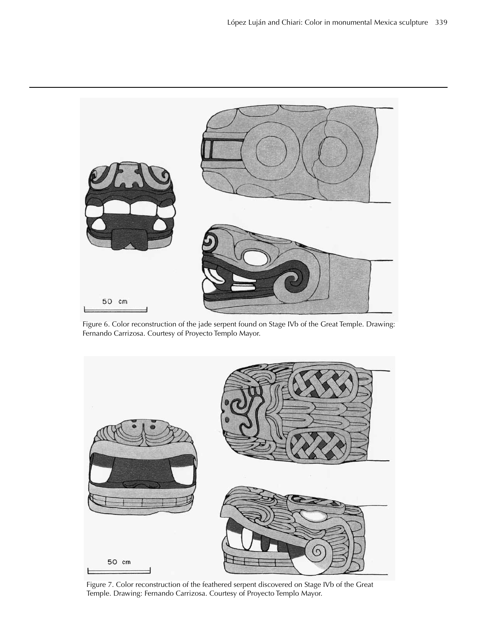

Figure 6. Color reconstruction of the jade serpent found on Stage IVb of the Great Temple. Drawing: Fernando Carrizosa. Courtesy of Proyecto Templo Mayor.



Figure 7. Color reconstruction of the feathered serpent discovered on Stage IVb of the Great Temple. Drawing: Fernando Carrizosa. Courtesy of Proyecto Templo Mayor.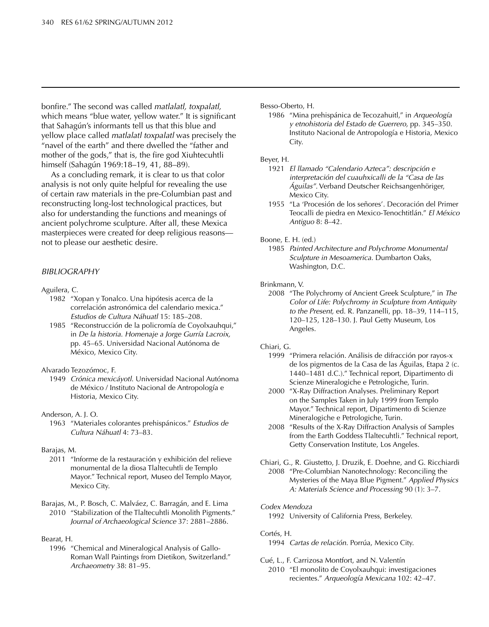bonfire." The second was called *matlalatl, toxpalatl,*  which means "blue water, yellow water." It is significant that Sahagún's informants tell us that this blue and yellow place called *matlalatl toxpalatl* was precisely the "navel of the earth" and there dwelled the "father and mother of the gods," that is, the fire god Xiuhtecuhtli himself (Sahagún 1969:18–19, 41, 88–89).

As a concluding remark, it is clear to us that color analysis is not only quite helpful for revealing the use of certain raw materials in the pre-Columbian past and reconstructing long-lost technological practices, but also for understanding the functions and meanings of ancient polychrome sculpture. After all, these Mexica masterpieces were created for deep religious reasons not to please our aesthetic desire.

#### *Bibliography*

#### Aguilera, C.

- 1982 "Xopan y Tonalco. Una hipótesis acerca de la correlación astronómica del calendario mexica." *Estudios de Cultura Náhuatl* 15: 185–208.
- 1985 "Reconstrucción de la policromía de Coyolxauhqui," in *De la historia. Homenaje a Jorge Gurría Lacroix,* pp. 45–65. Universidad Nacional Autónoma de México, Mexico City.
- Alvarado Tezozómoc, F.
	- 1949 *Crónica mexicáyotl*. Universidad Nacional Autónoma de México / Instituto Nacional de Antropología e Historia, Mexico City.
- Anderson, A. J. O.
	- 1963 "Materiales colorantes prehispánicos." *Estudios de Cultura Náhuatl* 4: 73–83.
- Barajas, M.
	- 2011 "Informe de la restauración y exhibición del relieve monumental de la diosa Tlaltecuhtli de Templo Mayor." Technical report, Museo del Templo Mayor, Mexico City.
- Barajas, M., P. Bosch, C. Malváez, C. Barragán, and E. Lima 2010 "Stabilization of the Tlaltecuhtli Monolith Pigments." *Journal of Archaeological Science* 37: 2881–2886.

#### Bearat, H.

1996 "Chemical and Mineralogical Analysis of Gallo-Roman Wall Paintings from Dietikon, Switzerland." *Archaeometry* 38: 81–95.

#### Besso-Oberto, H.

1986 "Mina prehispánica de Tecozahuitl," in *Arqueología y etnohistoria del Estado de Guerrero,* pp. 345–350. Instituto Nacional de Antropología e Historia, Mexico City.

#### Beyer, H.

- 1921 *El llamado "Calendario Azteca": descripción e interpretación del cuauhxicalli de la "Casa de las Águilas"*. Verband Deutscher Reichsangenhöriger, Mexico City.
- 1955 "La 'Procesión de los señores'. Decoración del Primer Teocalli de piedra en Mexico-Tenochtitlán." *El México Antiguo* 8: 8–42.

#### Boone, E. H. (ed.)

1985 *Painted Architecture and Polychrome Monumental Sculpture in Mesoamerica.* Dumbarton Oaks, Washington, D.C.

## Brinkmann, V.

2008 "The Polychromy of Ancient Greek Sculpture," in *The Color of Life: Polychromy in Sculpture from Antiquity to the Present,* ed. R. Panzanelli, pp. 18–39, 114–115, 120–125, 128–130. J. Paul Getty Museum, Los Angeles.

#### Chiari, G.

- 1999 "Primera relación. Análisis de difracción por rayos-x de los pigmentos de la Casa de las Águilas, Etapa 2 (c. 1440–1481 d.C.)." Technical report, Dipartimento di Scienze Mineralogiche e Petrologiche, Turin.
- 2000 "X-Ray Diffraction Analyses. Preliminary Report on the Samples Taken in July 1999 from Templo Mayor." Technical report, Dipartimento di Scienze Mineralogiche e Petrologiche, Turin.
- 2008 "Results of the X-Ray Diffraction Analysis of Samples from the Earth Goddess Tlaltecuhtli." Technical report, Getty Conservation Institute, Los Angeles.

Chiari, G., R. Giustetto, J. Druzik, E. Doehne, and G. Ricchiardi 2008 "Pre-Columbian Nanotechnology: Reconciling the Mysteries of the Maya Blue Pigment." *Applied Physics A: Materials Science and Processing* 90 (1): 3–7.

#### *Codex Mendoza*

1992 University of California Press, Berkeley.

Cortés, H.

- 1994 *Cartas de relación*. Porrúa, Mexico City.
- Cué, L., F. Carrizosa Montfort, and N. Valentín 2010 "El monolito de Coyolxauhqui: investigaciones recientes." *Arqueología Mexicana* 102: 42–47.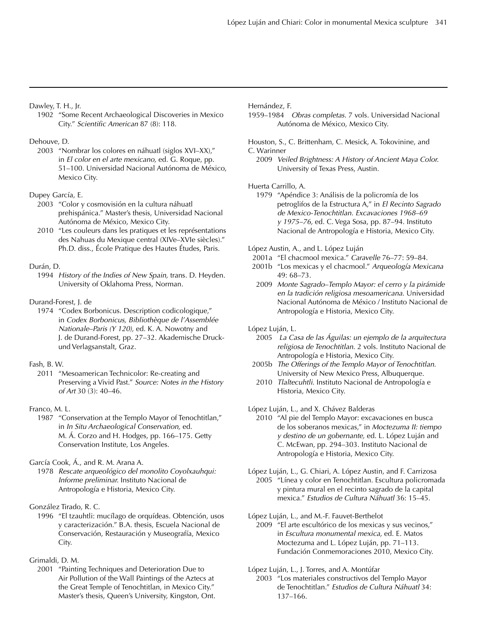# Dawley, T. H., Jr.

1902 "Some Recent Archaeological Discoveries in Mexico City." *Scientific American* 87 (8): 118.

# Dehouve, D.

2003 "Nombrar los colores en náhuatl (siglos XVI–XX)," in *El color en el arte mexicano,* ed. G. Roque, pp. 51–100. Universidad Nacional Autónoma de México, Mexico City.

# Dupey García, E.

- 2003 "Color y cosmovisión en la cultura náhuatl prehispánica." Master's thesis, Universidad Nacional Autónoma de México, Mexico City.
- 2010 "Les couleurs dans les pratiques et les représentations des Nahuas du Mexique central (XIVe–XVIe siècles)." Ph.D. diss., École Pratique des Hautes Études, Paris.

# Durán, D.

1994 *History of the Indies of New Spain,* trans. D. Heyden. University of Oklahoma Press, Norman.

# Durand-Forest, J. de

1974 "Codex Borbonicus. Description codicologique," in *Codex Borbonicus, Bibliothèque de l'Assemblée Nationale–Paris (Y 120),* ed. K. A. Nowotny and J. de Durand-Forest, pp. 27–32. Akademische Druckund Verlagsanstalt, Graz.

# Fash, B. W.

2011 "Mesoamerican Technicolor: Re-creating and Preserving a Vivid Past." *Source: Notes in the History of Art* 30 (3): 40–46.

# Franco, M. L.

1987 "Conservation at the Templo Mayor of Tenochtitlan," in *In Situ Archaeological Conservation,* ed. M. Á. Corzo and H. Hodges, pp. 166–175. Getty Conservation Institute, Los Angeles.

García Cook, Á., and R. M. Arana A.

1978 *Rescate arqueológico del monolito Coyolxauhqui: Informe preliminar.* Instituto Nacional de Antropología e Historia, Mexico City.

# González Tirado, R. C.

1996 "El tzauhtli: mucílago de orquídeas. Obtención, usos y caracterización." B.A. thesis, Escuela Nacional de Conservación, Restauración y Museografía, Mexico City.

# Grimaldi, D. M.

2001 "Painting Techniques and Deterioration Due to Air Pollution of the Wall Paintings of the Aztecs at the Great Temple of Tenochtitlan, in Mexico City." Master's thesis, Queen's University, Kingston, Ont.

# Hernández, F.

- 1959–1984 *Obras completas*. 7 vols. Universidad Nacional Autónoma de México, Mexico City.
- Houston, S., C. Brittenham, C. Mesick, A. Tokovinine, and C. Warinner
	- 2009 *Veiled Brightness: A History of Ancient Maya Color.*  University of Texas Press, Austin.

Huerta Carrillo, A.

1979 "Apéndice 3: Análisis de la policromía de los petroglifos de la Estructura A," in *El Recinto Sagrado de Mexico-Tenochtitlan. Excavaciones 1968–69 y 1975–76,* ed. C. Vega Sosa, pp. 87–94. Instituto Nacional de Antropología e Historia, Mexico City.

# López Austin, A., and L. López Luján

- 2001a "El chacmool mexica." *Caravelle* 76–77: 59–84.
- 2001b "Los mexicas y el chacmool." *Arqueología Mexicana*  49: 68–73.
- 2009 *Monte Sagrado–Templo Mayor: el cerro y la pirámide en la tradición religiosa mesoamericana*. Universidad Nacional Autónoma de México / Instituto Nacional de Antropología e Historia, Mexico City.

López Luján, L.

- 2005 *La Casa de las Águilas: un ejemplo de la arquitectura religiosa de Tenochtitlan*. 2 vols. Instituto Nacional de Antropología e Historia, Mexico City.
- 2005b *The Offerings of the Templo Mayor of Tenochtitlan.*  University of New Mexico Press, Albuquerque.
- 2010 *Tlaltecuhtli*. Instituto Nacional de Antropología e Historia, Mexico City.

# López Luján, L., and X. Chávez Balderas

- 2010 "Al pie del Templo Mayor: excavaciones en busca de los soberanos mexicas," in *Moctezuma II: tiempo y destino de un gobernante,* ed. L. López Luján and C. McEwan, pp. 294–303. Instituto Nacional de Antropología e Historia, Mexico City.
- López Luján, L., G. Chiari, A. López Austin, and F. Carrizosa 2005 "Línea y color en Tenochtitlan. Escultura policromada y pintura mural en el recinto sagrado de la capital mexica." *Estudios de Cultura Náhuatl* 36: 15–45.

López Luján, L., and M.-F. Fauvet-Berthelot

2009 "El arte escultórico de los mexicas y sus vecinos," in *Escultura monumental mexica,* ed. E. Matos Moctezuma and L. López Luján, pp. 71–113. Fundación Conmemoraciones 2010, Mexico City.

# López Luján, L., J. Torres, and A. Montúfar

2003 "Los materiales constructivos del Templo Mayor de Tenochtitlan." *Estudios de Cultura Náhuatl* 34: 137–166.